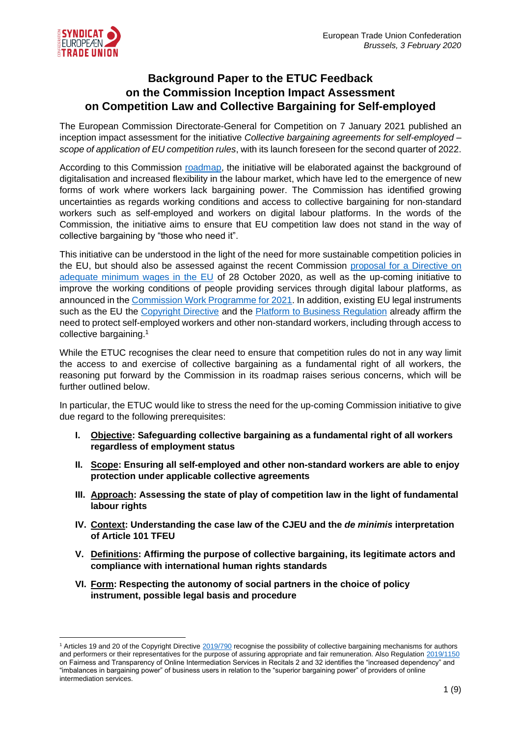

# **Background Paper to the ETUC Feedback on the Commission Inception Impact Assessment on Competition Law and Collective Bargaining for Self-employed**

The European Commission Directorate-General for Competition on 7 January 2021 published an inception impact assessment for the initiative *Collective bargaining agreements for self-employed – scope of application of EU competition rules*, with its launch foreseen for the second quarter of 2022.

According to this Commission [roadmap,](https://ec.europa.eu/info/law/better-regulation/have-your-say/initiatives/12483-Collective-bargaining-agreements-for-self-employed-scope-of-application-EU-competition-rules) the initiative will be elaborated against the background of digitalisation and increased flexibility in the labour market, which have led to the emergence of new forms of work where workers lack bargaining power. The Commission has identified growing uncertainties as regards working conditions and access to collective bargaining for non-standard workers such as self-employed and workers on digital labour platforms. In the words of the Commission, the initiative aims to ensure that EU competition law does not stand in the way of collective bargaining by "those who need it".

This initiative can be understood in the light of the need for more sustainable competition policies in the EU, but should also be assessed against the recent Commission [proposal for a](https://eur-lex.europa.eu/legal-content/EN/TXT/?uri=CELEX:52020PC0682) Directive on [adequate minimum wages in the EU](https://eur-lex.europa.eu/legal-content/EN/TXT/?uri=CELEX:52020PC0682) of 28 October 2020, as well as the up-coming initiative to improve the working conditions of people providing services through digital labour platforms, as announced in th[e Commission Work Programme for 2021.](https://ec.europa.eu/info/publications/2021-commission-work-programme-key-documents_en) In addition, existing EU legal instruments such as the EU the [Copyright Directive](https://eur-lex.europa.eu/eli/dir/2019/790/oj) and the [Platform to Business Regulation](https://eur-lex.europa.eu/legal-content/EN/TXT/?uri=uriserv:OJ.L_.2019.186.01.0057.01.ENG&toc=OJ:L:2019:186:TOC) already affirm the need to protect self-employed workers and other non-standard workers, including through access to collective bargaining.<sup>1</sup>

While the ETUC recognises the clear need to ensure that competition rules do not in any way limit the access to and exercise of collective bargaining as a fundamental right of all workers, the reasoning put forward by the Commission in its roadmap raises serious concerns, which will be further outlined below.

In particular, the ETUC would like to stress the need for the up-coming Commission initiative to give due regard to the following prerequisites:

- **I. Objective: Safeguarding collective bargaining as a fundamental right of all workers regardless of employment status**
- **II. Scope: Ensuring all self-employed and other non-standard workers are able to enjoy protection under applicable collective agreements**
- **III. Approach: Assessing the state of play of competition law in the light of fundamental labour rights**
- **IV. Context: Understanding the case law of the CJEU and the** *de minimis* **interpretation of Article 101 TFEU**
- **V. Definitions: Affirming the purpose of collective bargaining, its legitimate actors and compliance with international human rights standards**
- **VI. Form: Respecting the autonomy of social partners in the choice of policy instrument, possible legal basis and procedure**

<sup>&</sup>lt;sup>1</sup> Articles 19 and 20 of the Copyright Directiv[e 2019/790](https://eur-lex.europa.eu/eli/dir/2019/790/oj) recognise the possibility of collective bargaining mechanisms for authors and performers or their representatives for the purpose of assuring appropriate and fair remuneration. Also Regulatio[n 2019/1150](https://eur-lex.europa.eu/legal-content/EN/TXT/?uri=uriserv:OJ.L_.2019.186.01.0057.01.ENG&toc=OJ:L:2019:186:TOC) on Fairness and Transparency of Online Intermediation Services in Recitals 2 and 32 identifies the "increased dependency" and "imbalances in bargaining power" of business users in relation to the "superior bargaining power" of providers of online intermediation services.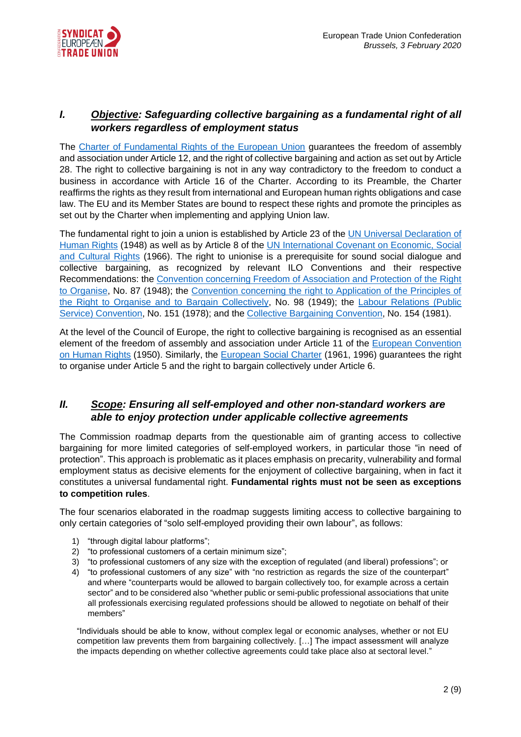

### *I. Objective: Safeguarding collective bargaining as a fundamental right of all workers regardless of employment status*

The [Charter of Fundamental Rights of the European Union](https://eur-lex.europa.eu/legal-content/EN/TXT/?uri=CELEX:12012P/TXT) guarantees the freedom of assembly and association under Article 12, and the right of collective bargaining and action as set out by Article 28. The right to collective bargaining is not in any way contradictory to the freedom to conduct a business in accordance with Article 16 of the Charter. According to its Preamble, the Charter reaffirms the rights as they result from international and European human rights obligations and case law. The EU and its Member States are bound to respect these rights and promote the principles as set out by the Charter when implementing and applying Union law.

The fundamental right to join a union is established by Article 23 of the UN Universal Declaration of [Human Rights](https://www.un.org/en/universal-declaration-human-rights/) (1948) as well as by Article 8 of the [UN International Covenant on Economic, Social](https://www.ohchr.org/EN/ProfessionalInterest/Pages/CESCR.aspx)  [and Cultural Rights](https://www.ohchr.org/EN/ProfessionalInterest/Pages/CESCR.aspx) (1966). The right to unionise is a prerequisite for sound social dialogue and collective bargaining, as recognized by relevant ILO Conventions and their respective Recommendations: the [Convention concerning Freedom of Association and Protection of the Right](https://www.ilo.org/dyn/normlex/en/f?p=NORMLEXPUB:12100:::NO:12100:P12100_ILO_CODE:C087:NO)  [to Organise,](https://www.ilo.org/dyn/normlex/en/f?p=NORMLEXPUB:12100:::NO:12100:P12100_ILO_CODE:C087:NO) No. 87 (1948); the [Convention concerning the right to Application of the Principles of](https://www.ilo.org/dyn/normlex/en/f?p=NORMLEXPUB:12100:::NO:12100:P12100_ILO_CODE:C098:NO)  [the Right to Organise and to Bargain Collectively,](https://www.ilo.org/dyn/normlex/en/f?p=NORMLEXPUB:12100:::NO:12100:P12100_ILO_CODE:C098:NO) No. 98 (1949); the [Labour Relations \(Public](https://www.ilo.org/dyn/normlex/en/f?p=NORMLEXPUB:12100:::NO:12100:P12100_ILO_CODE:C151:NO)  [Service\) Convention,](https://www.ilo.org/dyn/normlex/en/f?p=NORMLEXPUB:12100:::NO:12100:P12100_ILO_CODE:C151:NO) No. 151 (1978); and the [Collective Bargaining Convention,](https://www.ilo.org/dyn/normlex/en/f?p=NORMLEXPUB:12100:::NO:12100:P12100_ILO_CODE:C154:NO) No. 154 (1981).

At the level of the Council of Europe, the right to collective bargaining is recognised as an essential element of the freedom of assembly and association under Article 11 of the [European Convention](https://www.echr.coe.int/documents/convention_eng.pdf)  [on Human Rights](https://www.echr.coe.int/documents/convention_eng.pdf) (1950). Similarly, the [European Social Charter](https://www.coe.int/en/web/conventions/full-list/-/conventions/rms/090000168007cf93) (1961, 1996) guarantees the right to organise under Article 5 and the right to bargain collectively under Article 6.

#### *II. Scope: Ensuring all self-employed and other non-standard workers are able to enjoy protection under applicable collective agreements*

The Commission roadmap departs from the questionable aim of granting access to collective bargaining for more limited categories of self-employed workers, in particular those "in need of protection". This approach is problematic as it places emphasis on precarity, vulnerability and formal employment status as decisive elements for the enjoyment of collective bargaining, when in fact it constitutes a universal fundamental right. **Fundamental rights must not be seen as exceptions to competition rules**.

The four scenarios elaborated in the roadmap suggests limiting access to collective bargaining to only certain categories of "solo self-employed providing their own labour", as follows:

- 1) "through digital labour platforms";
- 2) "to professional customers of a certain minimum size";
- 3) "to professional customers of any size with the exception of regulated (and liberal) professions"; or
- 4) "to professional customers of any size" with "no restriction as regards the size of the counterpart" and where "counterparts would be allowed to bargain collectively too, for example across a certain sector" and to be considered also "whether public or semi-public professional associations that unite all professionals exercising regulated professions should be allowed to negotiate on behalf of their members"

"Individuals should be able to know, without complex legal or economic analyses, whether or not EU competition law prevents them from bargaining collectively. […] The impact assessment will analyze the impacts depending on whether collective agreements could take place also at sectoral level."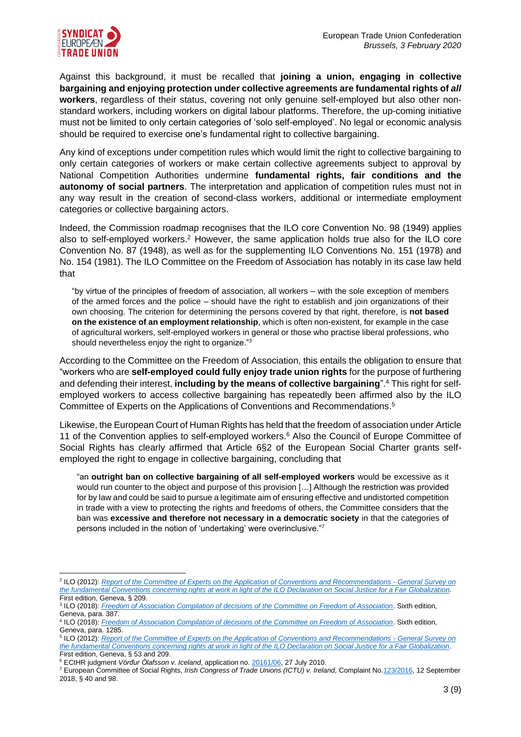

Against this background, it must be recalled that **joining a union, engaging in collective bargaining and enjoying protection under collective agreements are fundamental rights of** *all* **workers**, regardless of their status, covering not only genuine self-employed but also other nonstandard workers, including workers on digital labour platforms. Therefore, the up-coming initiative must not be limited to only certain categories of 'solo self-employed'. No legal or economic analysis should be required to exercise one's fundamental right to collective bargaining.

Any kind of exceptions under competition rules which would limit the right to collective bargaining to only certain categories of workers or make certain collective agreements subject to approval by National Competition Authorities undermine **fundamental rights, fair conditions and the autonomy of social partners**. The interpretation and application of competition rules must not in any way result in the creation of second-class workers, additional or intermediate employment categories or collective bargaining actors.

Indeed, the Commission roadmap recognises that the ILO core Convention No. 98 (1949) applies also to self-employed workers.<sup>2</sup> However, the same application holds true also for the ILO core Convention No. 87 (1948), as well as for the supplementing ILO Conventions No. 151 (1978) and No. 154 (1981). The ILO Committee on the Freedom of Association has notably in its case law held that

"by virtue of the principles of freedom of association, all workers – with the sole exception of members of the armed forces and the police – should have the right to establish and join organizations of their own choosing. The criterion for determining the persons covered by that right, therefore, is **not based on the existence of an employment relationship**, which is often non-existent, for example in the case of agricultural workers, self-employed workers in general or those who practise liberal professions, who should nevertheless enjoy the right to organize."<sup>3</sup>

According to the Committee on the Freedom of Association, this entails the obligation to ensure that "workers who are **self-employed could fully enjoy trade union rights** for the purpose of furthering and defending their interest, **including by the means of collective bargaining**".<sup>4</sup> This right for selfemployed workers to access collective bargaining has repeatedly been affirmed also by the ILO Committee of Experts on the Applications of Conventions and Recommendations. 5

Likewise, the European Court of Human Rights has held that the freedom of association under Article 11 of the Convention applies to self-employed workers.<sup>6</sup> Also the Council of Europe Committee of Social Rights has clearly affirmed that Article 6§2 of the European Social Charter grants selfemployed the right to engage in collective bargaining, concluding that

"an **outright ban on collective bargaining of all self-employed workers** would be excessive as it would run counter to the object and purpose of this provision […] Although the restriction was provided for by law and could be said to pursue a legitimate aim of ensuring effective and undistorted competition in trade with a view to protecting the rights and freedoms of others, the Committee considers that the ban was **excessive and therefore not necessary in a democratic society** in that the categories of persons included in the notion of 'undertaking' were overinclusive."<sup>7</sup>

<sup>2</sup> ILO (2012): *[Report of the Committee of Experts on the Application of Conventions and Recommendations -](https://www.ilo.org/wcmsp5/groups/public/---ed_norm/---relconf/documents/meetingdocument/wcms_174846.pdf) General Survey on [the fundamental Conventions concerning rights at work in light of the ILO Declaration on Social Justice for a Fair Globalization](https://www.ilo.org/wcmsp5/groups/public/---ed_norm/---relconf/documents/meetingdocument/wcms_174846.pdf)*. First edition, Geneva, § 209.

<sup>3</sup> ILO (2018): *[Freedom of Association Compilation of decisions of the Committee on Freedom of Association](https://labordoc.ilo.org/discovery/delivery/41ILO_INST:41ILO_V2/1253169950002676?lang=en)*. Sixth edition, Geneva, para. 387.

<sup>4</sup> ILO (2018): *[Freedom of Association Compilation of decisions of the Committee on Freedom of Association](https://labordoc.ilo.org/discovery/delivery/41ILO_INST:41ILO_V2/1253169950002676?lang=en)*. Sixth edition, Geneva, para. 1285.

<sup>5</sup> ILO (2012): *[Report of the Committee of Experts on the Application of Conventions and Recommendations -](https://www.ilo.org/wcmsp5/groups/public/---ed_norm/---relconf/documents/meetingdocument/wcms_174846.pdf) General Survey on the fundamental Conventions concerning [rights at work in light of the ILO Declaration on Social Justice for a Fair Globalization](https://www.ilo.org/wcmsp5/groups/public/---ed_norm/---relconf/documents/meetingdocument/wcms_174846.pdf)*. First edition, Geneva, § 53 and 209.

<sup>6</sup> ECtHR judgment *Vörđur Ólafsson v. Iceland*, application no. [20161/06,](https://hudoc.echr.coe.int/eng-press#{%22itemid%22:[%22003-3108513-3451798%22]}) 27 July 2010.

<sup>7</sup> European Committee of Social Rights, *Irish Congress of Trade Unions (ICTU) v. Ireland,* Complaint No[.123/2016,](https://rm.coe.int/cc-123-2016-dmerits-en/1680902999) 12 September 2018, § 40 and 98.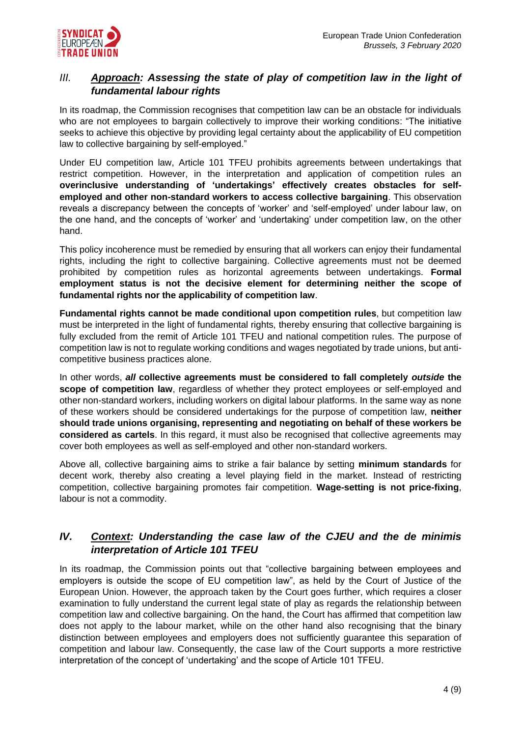

### *III. Approach: Assessing the state of play of competition law in the light of fundamental labour rights*

In its roadmap, the Commission recognises that competition law can be an obstacle for individuals who are not employees to bargain collectively to improve their working conditions: "The initiative seeks to achieve this objective by providing legal certainty about the applicability of EU competition law to collective bargaining by self-employed."

Under EU competition law, Article 101 TFEU prohibits agreements between undertakings that restrict competition. However, in the interpretation and application of competition rules an **overinclusive understanding of 'undertakings' effectively creates obstacles for selfemployed and other non-standard workers to access collective bargaining**. This observation reveals a discrepancy between the concepts of 'worker' and 'self-employed' under labour law, on the one hand, and the concepts of 'worker' and 'undertaking' under competition law, on the other hand.

This policy incoherence must be remedied by ensuring that all workers can enjoy their fundamental rights, including the right to collective bargaining. Collective agreements must not be deemed prohibited by competition rules as horizontal agreements between undertakings. **Formal employment status is not the decisive element for determining neither the scope of fundamental rights nor the applicability of competition law**.

**Fundamental rights cannot be made conditional upon competition rules**, but competition law must be interpreted in the light of fundamental rights, thereby ensuring that collective bargaining is fully excluded from the remit of Article 101 TFEU and national competition rules. The purpose of competition law is not to regulate working conditions and wages negotiated by trade unions, but anticompetitive business practices alone.

In other words, *all* **collective agreements must be considered to fall completely** *outside* **the**  scope of competition law, regardless of whether they protect employees or self-employed and other non-standard workers, including workers on digital labour platforms. In the same way as none of these workers should be considered undertakings for the purpose of competition law, **neither should trade unions organising, representing and negotiating on behalf of these workers be considered as cartels**. In this regard, it must also be recognised that collective agreements may cover both employees as well as self-employed and other non-standard workers.

Above all, collective bargaining aims to strike a fair balance by setting **minimum standards** for decent work, thereby also creating a level playing field in the market. Instead of restricting competition, collective bargaining promotes fair competition. **Wage-setting is not price-fixing**, labour is not a commodity.

### *IV. Context: Understanding the case law of the CJEU and the de minimis interpretation of Article 101 TFEU*

In its roadmap, the Commission points out that "collective bargaining between employees and employers is outside the scope of EU competition law", as held by the Court of Justice of the European Union. However, the approach taken by the Court goes further, which requires a closer examination to fully understand the current legal state of play as regards the relationship between competition law and collective bargaining. On the hand, the Court has affirmed that competition law does not apply to the labour market, while on the other hand also recognising that the binary distinction between employees and employers does not sufficiently guarantee this separation of competition and labour law. Consequently, the case law of the Court supports a more restrictive interpretation of the concept of 'undertaking' and the scope of Article 101 TFEU.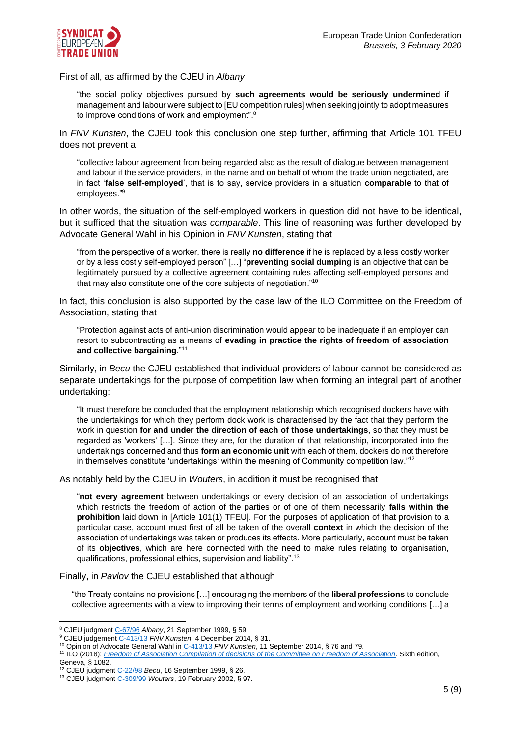

First of all, as affirmed by the CJEU in *Albany*

"the social policy objectives pursued by **such agreements would be seriously undermined** if management and labour were subject to [EU competition rules] when seeking jointly to adopt measures to improve conditions of work and employment". $8$ 

In *FNV Kunsten*, the CJEU took this conclusion one step further, affirming that Article 101 TFEU does not prevent a

"collective labour agreement from being regarded also as the result of dialogue between management and labour if the service providers, in the name and on behalf of whom the trade union negotiated, are in fact '**false self-employed**', that is to say, service providers in a situation **comparable** to that of employees." 9

In other words, the situation of the self-employed workers in question did not have to be identical, but it sufficed that the situation was *comparable*. This line of reasoning was further developed by Advocate General Wahl in his Opinion in *FNV Kunsten*, stating that

"from the perspective of a worker, there is really **no difference** if he is replaced by a less costly worker or by a less costly self-employed person" […] "**preventing social dumping** is an objective that can be legitimately pursued by a collective agreement containing rules affecting self-employed persons and that may also constitute one of the core subjects of negotiation."<sup>10</sup>

In fact, this conclusion is also supported by the case law of the ILO Committee on the Freedom of Association, stating that

"Protection against acts of anti-union discrimination would appear to be inadequate if an employer can resort to subcontracting as a means of **evading in practice the rights of freedom of association and collective bargaining**." 11

Similarly, in *Becu* the CJEU established that individual providers of labour cannot be considered as separate undertakings for the purpose of competition law when forming an integral part of another undertaking:

"It must therefore be concluded that the employment relationship which recognised dockers have with the undertakings for which they perform dock work is characterised by the fact that they perform the work in question **for and under the direction of each of those undertakings**, so that they must be regarded as 'workers' […]. Since they are, for the duration of that relationship, incorporated into the undertakings concerned and thus **form an economic unit** with each of them, dockers do not therefore in themselves constitute 'undertakings' within the meaning of Community competition law."<sup>12</sup>

As notably held by the CJEU in *Wouters*, in addition it must be recognised that

"**not every agreement** between undertakings or every decision of an association of undertakings which restricts the freedom of action of the parties or of one of them necessarily **falls within the prohibition** laid down in [Article 101(1) TFEU]. For the purposes of application of that provision to a particular case, account must first of all be taken of the overall **context** in which the decision of the association of undertakings was taken or produces its effects. More particularly, account must be taken of its **objectives**, which are here connected with the need to make rules relating to organisation, qualifications, professional ethics, supervision and liability".<sup>13</sup>

Finally, in *Pavlov* the CJEU established that although

"the Treaty contains no provisions […] encouraging the members of the **liberal professions** to conclude collective agreements with a view to improving their terms of employment and working conditions […] a

<sup>8</sup> CJEU judgmen[t C-67/96](http://curia.europa.eu/juris/document/document.jsf?text=&docid=44710&pageIndex=0&doclang=EN&mode=lst&dir=&occ=first&part=1&cid=3613638) *Albany*, 21 September 1999, § 59.

<sup>9</sup> CJEU judgement [C-413/13](http://curia.europa.eu/juris/document/document.jsf?text=&docid=160305&pageIndex=0&doclang=EN&mode=lst&dir=&occ=first&part=1&cid=3832637) *FNV Kunsten*, 4 December 2014, § 31.

<sup>10</sup> Opinion of Advocate General Wahl i[n C-413/13](http://curia.europa.eu/juris/document/document.jsf?text=&docid=157529&pageIndex=0&doclang=EN&mode=lst&dir=&occ=first&part=1&cid=3832637) *FNV Kunsten*, 11 September 2014, § 76 and 79.

<sup>11</sup> ILO (2018): *[Freedom of Association Compilation of decisions of the Committee on Freedom of Association](https://labordoc.ilo.org/discovery/delivery/41ILO_INST:41ILO_V2/1253169950002676?lang=en)*. Sixth edition,

Geneva, § 1082.

<sup>12</sup> CJEU judgment [C-22/98](http://curia.europa.eu/juris/document/document.jsf?text=&docid=44708&pageIndex=0&doclang=EN&mode=lst&dir=&occ=first&part=1&cid=248994) *Becu*, 16 September 1999, § 26.

<sup>13</sup> CJEU judgment [C-309/99](http://curia.europa.eu/juris/document/document.jsf?text=&docid=46722&pageIndex=0&doclang=EN&mode=lst&dir=&occ=first&part=1&cid=3718390) *Wouters*, 19 February 2002, § 97.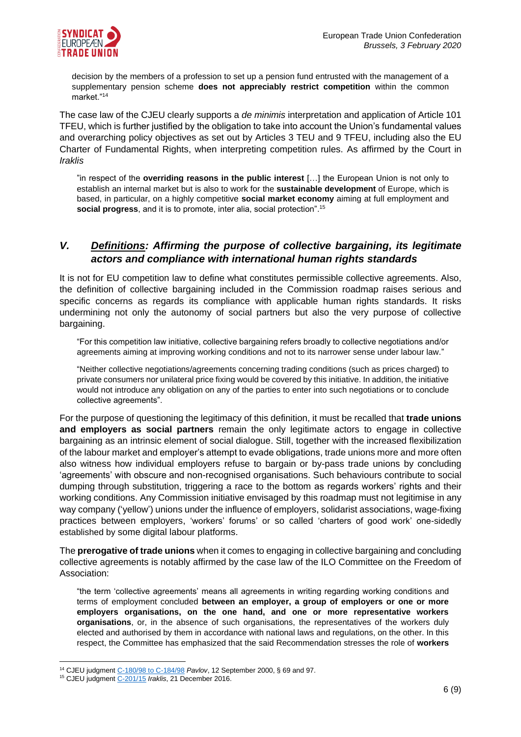

decision by the members of a profession to set up a pension fund entrusted with the management of a supplementary pension scheme **does not appreciably restrict competition** within the common market<sup>"14</sup>

The case law of the CJEU clearly supports a *de minimis* interpretation and application of Article 101 TFEU, which is further justified by the obligation to take into account the Union's fundamental values and overarching policy objectives as set out by Articles 3 TEU and 9 TFEU, including also the EU Charter of Fundamental Rights, when interpreting competition rules. As affirmed by the Court in *Iraklis*

"in respect of the **overriding reasons in the public interest** […] the European Union is not only to establish an internal market but is also to work for the **sustainable development** of Europe, which is based, in particular, on a highly competitive **social market economy** aiming at full employment and **social progress**, and it is to promote, inter alia, social protection". 15

### *V. Definitions: Affirming the purpose of collective bargaining, its legitimate actors and compliance with international human rights standards*

It is not for EU competition law to define what constitutes permissible collective agreements. Also, the definition of collective bargaining included in the Commission roadmap raises serious and specific concerns as regards its compliance with applicable human rights standards. It risks undermining not only the autonomy of social partners but also the very purpose of collective bargaining.

"For this competition law initiative, collective bargaining refers broadly to collective negotiations and/or agreements aiming at improving working conditions and not to its narrower sense under labour law."

"Neither collective negotiations/agreements concerning trading conditions (such as prices charged) to private consumers nor unilateral price fixing would be covered by this initiative. In addition, the initiative would not introduce any obligation on any of the parties to enter into such negotiations or to conclude collective agreements".

For the purpose of questioning the legitimacy of this definition, it must be recalled that **trade unions and employers as social partners** remain the only legitimate actors to engage in collective bargaining as an intrinsic element of social dialogue. Still, together with the increased flexibilization of the labour market and employer's attempt to evade obligations, trade unions more and more often also witness how individual employers refuse to bargain or by-pass trade unions by concluding 'agreements' with obscure and non-recognised organisations. Such behaviours contribute to social dumping through substitution, triggering a race to the bottom as regards workers' rights and their working conditions. Any Commission initiative envisaged by this roadmap must not legitimise in any way company ('yellow') unions under the influence of employers, solidarist associations, wage-fixing practices between employers, 'workers' forums' or so called 'charters of good work' one-sidedly established by some digital labour platforms.

The **prerogative of trade unions** when it comes to engaging in collective bargaining and concluding collective agreements is notably affirmed by the case law of the ILO Committee on the Freedom of Association:

"the term 'collective agreements' means all agreements in writing regarding working conditions and terms of employment concluded **between an employer, a group of employers or one or more employers organisations, on the one hand, and one or more representative workers organisations**, or, in the absence of such organisations, the representatives of the workers duly elected and authorised by them in accordance with national laws and regulations, on the other. In this respect, the Committee has emphasized that the said Recommendation stresses the role of **workers** 

<sup>14</sup> CJEU judgment [C-180/98 to C-184/98](http://curia.europa.eu/juris/document/document.jsf?text=&docid=45608&pageIndex=0&doclang=EN&mode=lst&dir=&occ=first&part=1&cid=3719270) *Pavlov*, 12 September 2000, § 69 and 97.

<sup>15</sup> CJEU judgment [C-201/15](http://curia.europa.eu/juris/document/document.jsf?text=&docid=186481&pageIndex=0&doclang=EN&mode=lst&dir=&occ=first&part=1&cid=3667168) *Iraklis*, 21 December 2016.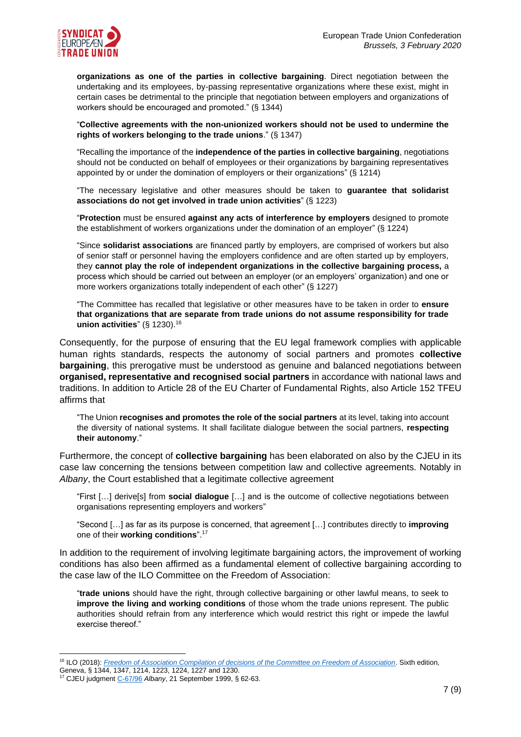

**organizations as one of the parties in collective bargaining**. Direct negotiation between the undertaking and its employees, by-passing representative organizations where these exist, might in certain cases be detrimental to the principle that negotiation between employers and organizations of workers should be encouraged and promoted." (§ 1344)

"**Collective agreements with the non-unionized workers should not be used to undermine the rights of workers belonging to the trade unions**." (§ 1347)

"Recalling the importance of the **independence of the parties in collective bargaining**, negotiations should not be conducted on behalf of employees or their organizations by bargaining representatives appointed by or under the domination of employers or their organizations" (§ 1214)

"The necessary legislative and other measures should be taken to **guarantee that solidarist associations do not get involved in trade union activities**" (§ 1223)

"**Protection** must be ensured **against any acts of interference by employers** designed to promote the establishment of workers organizations under the domination of an employer" (§ 1224)

"Since **solidarist associations** are financed partly by employers, are comprised of workers but also of senior staff or personnel having the employers confidence and are often started up by employers, they **cannot play the role of independent organizations in the collective bargaining process,** a process which should be carried out between an employer (or an employers' organization) and one or more workers organizations totally independent of each other" (§ 1227)

"The Committee has recalled that legislative or other measures have to be taken in order to **ensure that organizations that are separate from trade unions do not assume responsibility for trade union activities**" (§ 1230). 16

Consequently, for the purpose of ensuring that the EU legal framework complies with applicable human rights standards, respects the autonomy of social partners and promotes **collective bargaining**, this prerogative must be understood as genuine and balanced negotiations between **organised, representative and recognised social partners** in accordance with national laws and traditions. In addition to Article 28 of the EU Charter of Fundamental Rights, also Article 152 TFEU affirms that

"The Union **recognises and promotes the role of the social partners** at its level, taking into account the diversity of national systems. It shall facilitate dialogue between the social partners, **respecting their autonomy**."

Furthermore, the concept of **collective bargaining** has been elaborated on also by the CJEU in its case law concerning the tensions between competition law and collective agreements. Notably in *Albany*, the Court established that a legitimate collective agreement

"First […] derive[s] from **social dialogue** […] and is the outcome of collective negotiations between organisations representing employers and workers"

"Second […] as far as its purpose is concerned, that agreement […] contributes directly to **improving** one of their **working conditions**". 17

In addition to the requirement of involving legitimate bargaining actors, the improvement of working conditions has also been affirmed as a fundamental element of collective bargaining according to the case law of the ILO Committee on the Freedom of Association:

"**trade unions** should have the right, through collective bargaining or other lawful means, to seek to **improve the living and working conditions** of those whom the trade unions represent. The public authorities should refrain from any interference which would restrict this right or impede the lawful exercise thereof."

<sup>16</sup> ILO (2018): *[Freedom of Association Compilation of decisions of the Committee on Freedom of Association](https://labordoc.ilo.org/discovery/delivery/41ILO_INST:41ILO_V2/1253169950002676?lang=en)*. Sixth edition, Geneva, § 1344, 1347, 1214, 1223, 1224, 1227 and 1230.

<sup>17</sup> CJEU judgment [C-67/96](http://curia.europa.eu/juris/document/document.jsf?text=&docid=44710&pageIndex=0&doclang=EN&mode=lst&dir=&occ=first&part=1&cid=3613638) *Albany*, 21 September 1999, § 62-63.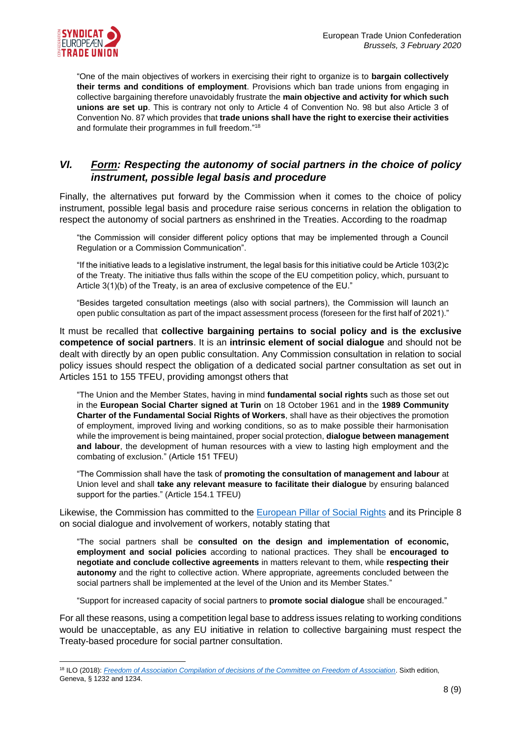

"One of the main objectives of workers in exercising their right to organize is to **bargain collectively their terms and conditions of employment**. Provisions which ban trade unions from engaging in collective bargaining therefore unavoidably frustrate the **main objective and activity for which such unions are set up**. This is contrary not only to Article 4 of Convention No. 98 but also Article 3 of Convention No. 87 which provides that **trade unions shall have the right to exercise their activities** and formulate their programmes in full freedom." 18

## *VI. Form: Respecting the autonomy of social partners in the choice of policy instrument, possible legal basis and procedure*

Finally, the alternatives put forward by the Commission when it comes to the choice of policy instrument, possible legal basis and procedure raise serious concerns in relation the obligation to respect the autonomy of social partners as enshrined in the Treaties. According to the roadmap

"the Commission will consider different policy options that may be implemented through a Council Regulation or a Commission Communication".

"If the initiative leads to a legislative instrument, the legal basis for this initiative could be Article 103(2)c of the Treaty. The initiative thus falls within the scope of the EU competition policy, which, pursuant to Article 3(1)(b) of the Treaty, is an area of exclusive competence of the EU."

"Besides targeted consultation meetings (also with social partners), the Commission will launch an open public consultation as part of the impact assessment process (foreseen for the first half of 2021)."

It must be recalled that **collective bargaining pertains to social policy and is the exclusive competence of social partners**. It is an **intrinsic element of social dialogue** and should not be dealt with directly by an open public consultation. Any Commission consultation in relation to social policy issues should respect the obligation of a dedicated social partner consultation as set out in Articles 151 to 155 TFEU, providing amongst others that

"The Union and the Member States, having in mind **fundamental social rights** such as those set out in the **European Social Charter signed at Turin** on 18 October 1961 and in the **1989 Community Charter of the Fundamental Social Rights of Workers**, shall have as their objectives the promotion of employment, improved living and working conditions, so as to make possible their harmonisation while the improvement is being maintained, proper social protection, **dialogue between management and labour**, the development of human resources with a view to lasting high employment and the combating of exclusion." (Article 151 TFEU)

"The Commission shall have the task of **promoting the consultation of management and labour** at Union level and shall **take any relevant measure to facilitate their dialogue** by ensuring balanced support for the parties." (Article 154.1 TFEU)

Likewise, the Commission has committed to the [European Pillar of Social Rights](https://ec.europa.eu/commission/sites/beta-political/files/social-summit-european-pillar-social-rights-booklet_en.pdf) and its Principle 8 on social dialogue and involvement of workers, notably stating that

"The social partners shall be **consulted on the design and implementation of economic, employment and social policies** according to national practices. They shall be **encouraged to negotiate and conclude collective agreements** in matters relevant to them, while **respecting their autonomy** and the right to collective action. Where appropriate, agreements concluded between the social partners shall be implemented at the level of the Union and its Member States."

"Support for increased capacity of social partners to **promote social dialogue** shall be encouraged."

For all these reasons, using a competition legal base to address issues relating to working conditions would be unacceptable, as any EU initiative in relation to collective bargaining must respect the Treaty-based procedure for social partner consultation.

<sup>18</sup> ILO (2018): *[Freedom of Association Compilation of decisions of the Committee on Freedom of Association](https://labordoc.ilo.org/discovery/delivery/41ILO_INST:41ILO_V2/1253169950002676?lang=en)*. Sixth edition, Geneva, § 1232 and 1234.